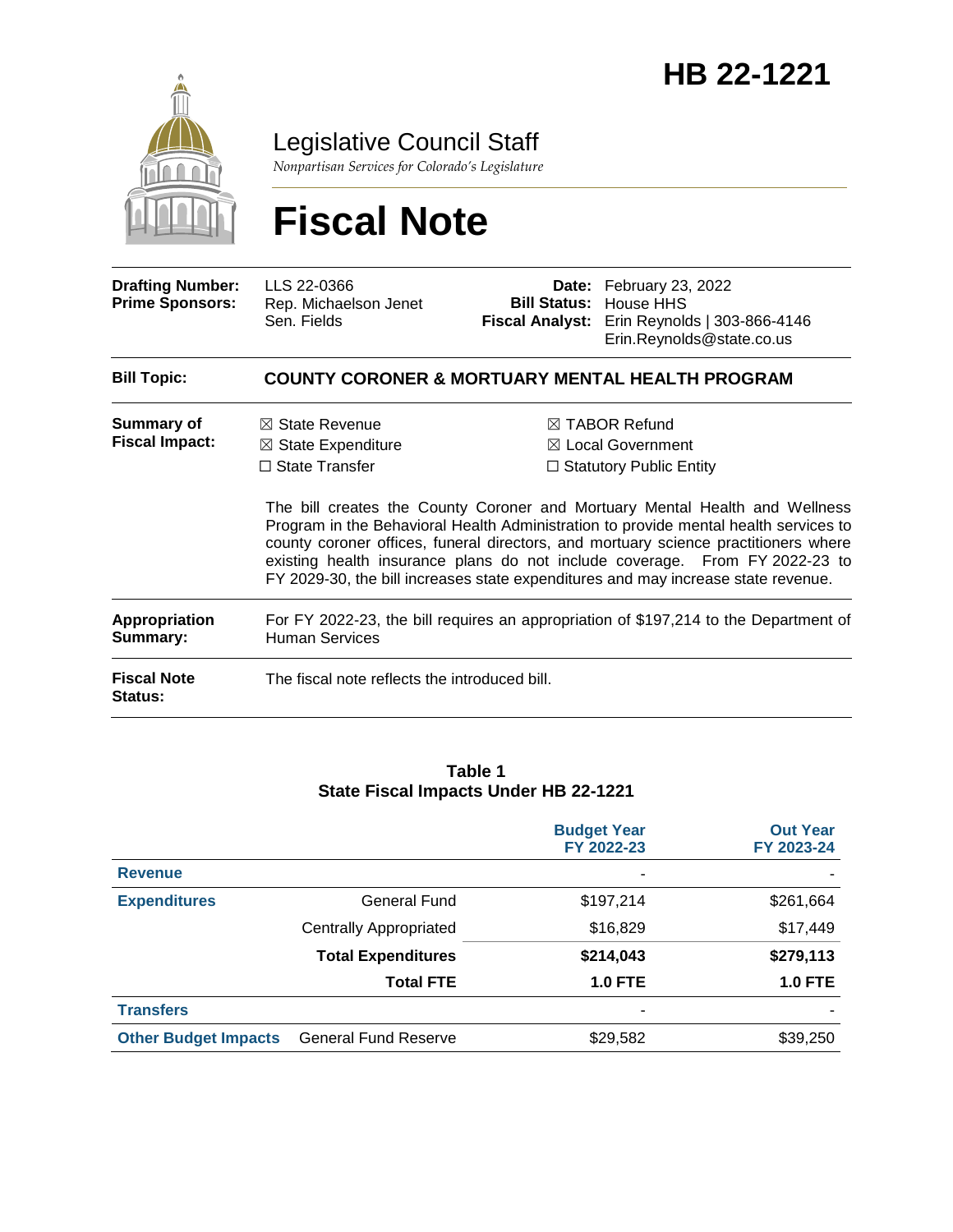

Legislative Council Staff

*Nonpartisan Services for Colorado's Legislature*

# **Fiscal Note**

| <b>Drafting Number:</b><br><b>Prime Sponsors:</b>                 | LLS 22-0366<br>Rep. Michaelson Jenet<br>Sen. Fields                                                                                                                                                                                                 |  | Date: February 23, 2022<br><b>Bill Status: House HHS</b><br>Fiscal Analyst: Erin Reynolds   303-866-4146<br>Erin.Reynolds@state.co.us                                                                                                                                                                                                                                                                                                   |  |  |
|-------------------------------------------------------------------|-----------------------------------------------------------------------------------------------------------------------------------------------------------------------------------------------------------------------------------------------------|--|-----------------------------------------------------------------------------------------------------------------------------------------------------------------------------------------------------------------------------------------------------------------------------------------------------------------------------------------------------------------------------------------------------------------------------------------|--|--|
| <b>Bill Topic:</b>                                                | <b>COUNTY CORONER &amp; MORTUARY MENTAL HEALTH PROGRAM</b>                                                                                                                                                                                          |  |                                                                                                                                                                                                                                                                                                                                                                                                                                         |  |  |
| <b>Summary of</b><br><b>Fiscal Impact:</b>                        | $\boxtimes$ State Revenue<br>$\boxtimes$ State Expenditure<br>$\Box$ State Transfer                                                                                                                                                                 |  | $\boxtimes$ TABOR Refund<br>$\boxtimes$ Local Government<br>$\Box$ Statutory Public Entity<br>The bill creates the County Coroner and Mortuary Mental Health and Wellness<br>Program in the Behavioral Health Administration to provide mental health services to<br>county coroner offices, funeral directors, and mortuary science practitioners where<br>existing health insurance plans do not include coverage. From FY 2022-23 to |  |  |
| <b>Appropriation</b><br>Summary:<br><b>Fiscal Note</b><br>Status: | FY 2029-30, the bill increases state expenditures and may increase state revenue.<br>For FY 2022-23, the bill requires an appropriation of \$197,214 to the Department of<br><b>Human Services</b><br>The fiscal note reflects the introduced bill. |  |                                                                                                                                                                                                                                                                                                                                                                                                                                         |  |  |

#### **Table 1 State Fiscal Impacts Under HB 22-1221**

|                             |                               | <b>Budget Year</b><br>FY 2022-23 | <b>Out Year</b><br>FY 2023-24 |
|-----------------------------|-------------------------------|----------------------------------|-------------------------------|
| <b>Revenue</b>              |                               |                                  |                               |
| <b>Expenditures</b>         | General Fund                  | \$197,214                        | \$261,664                     |
|                             | <b>Centrally Appropriated</b> | \$16,829                         | \$17,449                      |
|                             | <b>Total Expenditures</b>     | \$214,043                        | \$279,113                     |
|                             | <b>Total FTE</b>              | <b>1.0 FTE</b>                   | <b>1.0 FTE</b>                |
| <b>Transfers</b>            |                               | -                                |                               |
| <b>Other Budget Impacts</b> | <b>General Fund Reserve</b>   | \$29,582                         | \$39,250                      |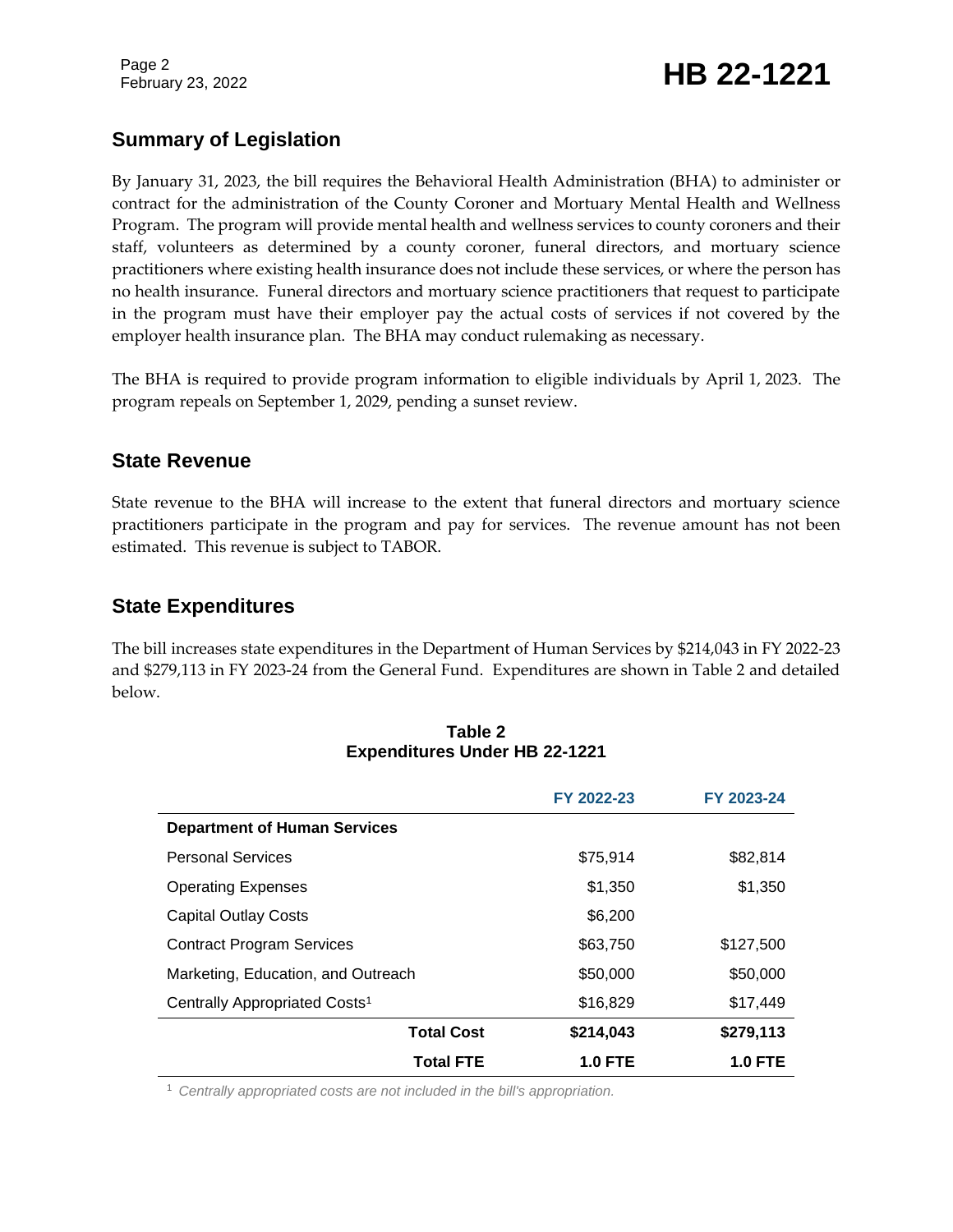Page 2

# February 23, 2022 **HB 22-1221**

# **Summary of Legislation**

By January 31, 2023, the bill requires the Behavioral Health Administration (BHA) to administer or contract for the administration of the County Coroner and Mortuary Mental Health and Wellness Program. The program will provide mental health and wellness services to county coroners and their staff, volunteers as determined by a county coroner, funeral directors, and mortuary science practitioners where existing health insurance does not include these services, or where the person has no health insurance. Funeral directors and mortuary science practitioners that request to participate in the program must have their employer pay the actual costs of services if not covered by the employer health insurance plan. The BHA may conduct rulemaking as necessary.

The BHA is required to provide program information to eligible individuals by April 1, 2023. The program repeals on September 1, 2029, pending a sunset review.

## **State Revenue**

State revenue to the BHA will increase to the extent that funeral directors and mortuary science practitioners participate in the program and pay for services. The revenue amount has not been estimated. This revenue is subject to TABOR.

## **State Expenditures**

The bill increases state expenditures in the Department of Human Services by \$214,043 in FY 2022-23 and \$279,113 in FY 2023-24 from the General Fund. Expenditures are shown in Table 2 and detailed below.

|                                           | FY 2022-23     | FY 2023-24 |
|-------------------------------------------|----------------|------------|
| <b>Department of Human Services</b>       |                |            |
| <b>Personal Services</b>                  | \$75,914       | \$82,814   |
| <b>Operating Expenses</b>                 | \$1,350        | \$1,350    |
| <b>Capital Outlay Costs</b>               | \$6,200        |            |
| <b>Contract Program Services</b>          | \$63,750       | \$127,500  |
| Marketing, Education, and Outreach        | \$50,000       | \$50,000   |
| Centrally Appropriated Costs <sup>1</sup> | \$16,829       | \$17,449   |
| <b>Total Cost</b>                         | \$214,043      | \$279,113  |
| <b>Total FTE</b>                          | <b>1.0 FTE</b> | 1.0 FTE    |

#### **Table 2 Expenditures Under HB 22-1221**

<sup>1</sup> *Centrally appropriated costs are not included in the bill's appropriation.*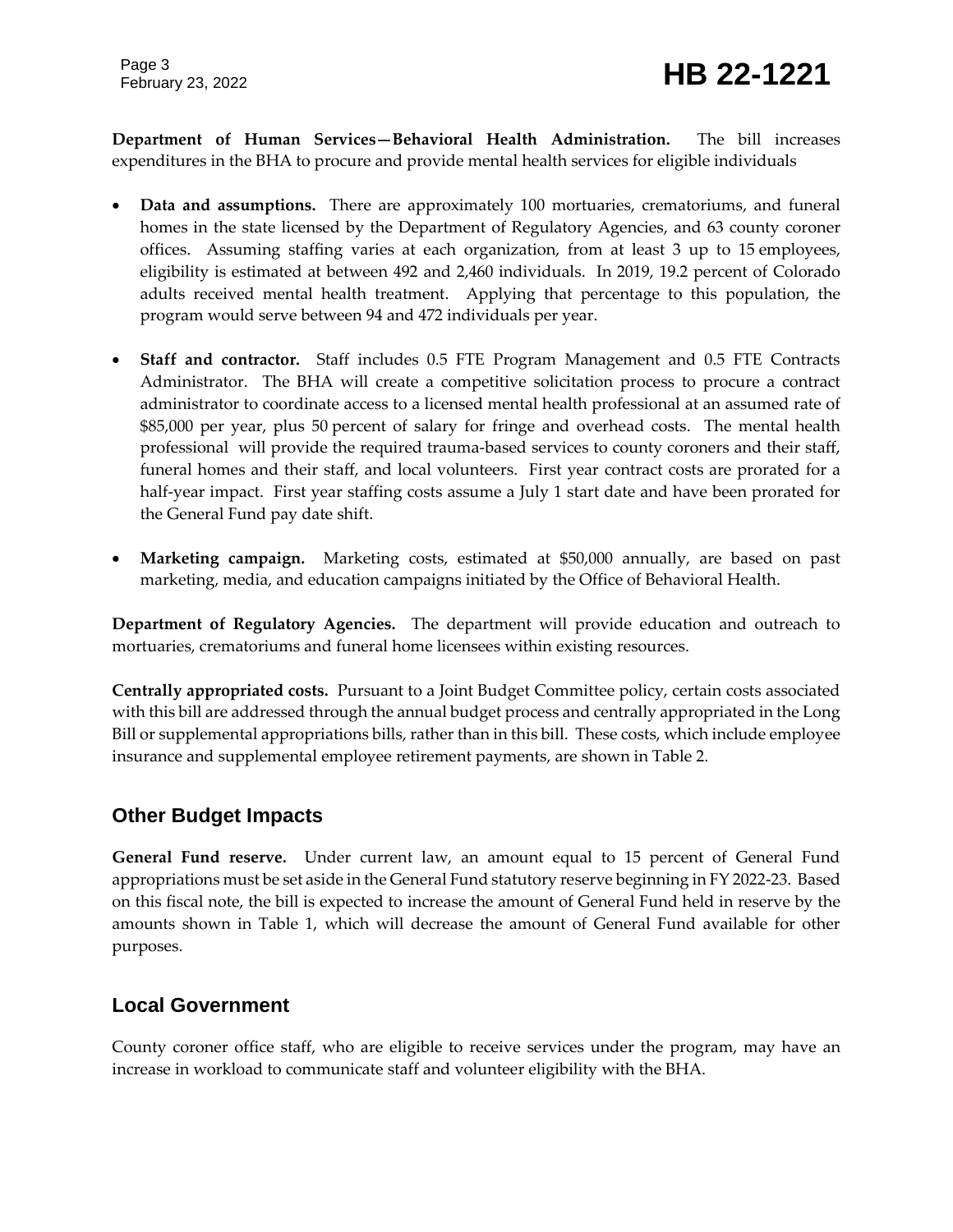Page 3

**Department of Human Services—Behavioral Health Administration.** The bill increases expenditures in the BHA to procure and provide mental health services for eligible individuals

- **Data and assumptions.** There are approximately 100 mortuaries, crematoriums, and funeral homes in the state licensed by the Department of Regulatory Agencies, and 63 county coroner offices. Assuming staffing varies at each organization, from at least 3 up to 15 employees, eligibility is estimated at between 492 and 2,460 individuals. In 2019, 19.2 percent of Colorado adults received mental health treatment. Applying that percentage to this population, the program would serve between 94 and 472 individuals per year.
- **Staff and contractor.** Staff includes 0.5 FTE Program Management and 0.5 FTE Contracts Administrator. The BHA will create a competitive solicitation process to procure a contract administrator to coordinate access to a licensed mental health professional at an assumed rate of \$85,000 per year, plus 50 percent of salary for fringe and overhead costs. The mental health professional will provide the required trauma-based services to county coroners and their staff, funeral homes and their staff, and local volunteers. First year contract costs are prorated for a half-year impact. First year staffing costs assume a July 1 start date and have been prorated for the General Fund pay date shift.
- **Marketing campaign.** Marketing costs, estimated at \$50,000 annually, are based on past marketing, media, and education campaigns initiated by the Office of Behavioral Health.

**Department of Regulatory Agencies.** The department will provide education and outreach to mortuaries, crematoriums and funeral home licensees within existing resources.

**Centrally appropriated costs.** Pursuant to a Joint Budget Committee policy, certain costs associated with this bill are addressed through the annual budget process and centrally appropriated in the Long Bill or supplemental appropriations bills, rather than in this bill. These costs, which include employee insurance and supplemental employee retirement payments, are shown in Table 2.

# **Other Budget Impacts**

**General Fund reserve.** Under current law, an amount equal to 15 percent of General Fund appropriations must be set aside in the General Fund statutory reserve beginning in FY 2022-23. Based on this fiscal note, the bill is expected to increase the amount of General Fund held in reserve by the amounts shown in Table 1, which will decrease the amount of General Fund available for other purposes.

# **Local Government**

County coroner office staff, who are eligible to receive services under the program, may have an increase in workload to communicate staff and volunteer eligibility with the BHA.